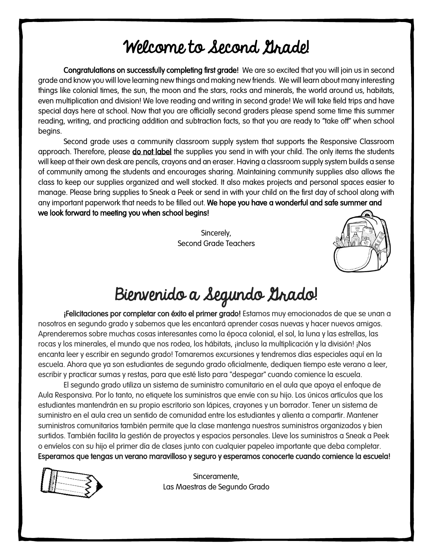## Welcome to Second Grade!

Congratulations on successfully completing first grade! We are so excited that you will join us in second grade and know you will love learning new things and making new friends. We will learn about many interesting things like colonial times, the sun, the moon and the stars, rocks and minerals, the world around us, habitats, even multiplication and division! We love reading and writing in second grade! We will take field trips and have special days here at school. Now that you are officially second graders please spend some time this summer reading, writing, and practicing addition and subtraction facts, so that you are ready to "take off" when school begins.

Second grade uses a community classroom supply system that supports the Responsive Classroom approach. Therefore, please do not label the supplies you send in with your child. The only items the students will keep at their own desk are pencils, crayons and an eraser. Having a classroom supply system builds a sense of community among the students and encourages sharing. Maintaining community supplies also allows the class to keep our supplies organized and well stocked. It also makes projects and personal spaces easier to manage. Please bring supplies to Sneak a Peek or send in with your child on the first day of school along with any important paperwork that needs to be filled out. We hope you have a wonderful and safe summer and we look forward to meeting you when school begins!

> Sincerely, Second Grade Teachers



## Bienvenido a Segundo Grado!

¡Felicitaciones por completar con éxito el primer grado! Estamos muy emocionados de que se unan a nosotros en segundo grado y sabemos que les encantará aprender cosas nuevas y hacer nuevos amigos. Aprenderemos sobre muchas cosas interesantes como la época colonial, el sol, la luna y las estrellas, las rocas y los minerales, el mundo que nos rodea, los hábitats, ¡incluso la multiplicación y la división! ¡Nos encanta leer y escribir en segundo grado! Tomaremos excursiones y tendremos días especiales aquí en la escuela. Ahora que ya son estudiantes de segundo grado oficialmente, dediquen tiempo este verano a leer, escribir y practicar sumas y restas, para que esté listo para "despegar" cuando comience la escuela.

El segundo grado utiliza un sistema de suministro comunitario en el aula que apoya el enfoque de Aula Responsiva. Por lo tanto, no etiquete los suministros que envíe con su hijo. Los únicos artículos que los estudiantes mantendrán en su propio escritorio son lápices, crayones y un borrador. Tener un sistema de suministro en el aula crea un sentido de comunidad entre los estudiantes y alienta a compartir. Mantener suministros comunitarios también permite que la clase mantenga nuestros suministros organizados y bien surtidos. También facilita la gestión de proyectos y espacios personales. Lleve los suministros a Sneak a Peek o envíelos con su hijo el primer día de clases junto con cualquier papeleo importante que deba completar. Esperamos que tengas un verano maravilloso y seguro y esperamos conocerte cuando comience la escuela!



Sinceramente, Las Maestras de Segundo Grado